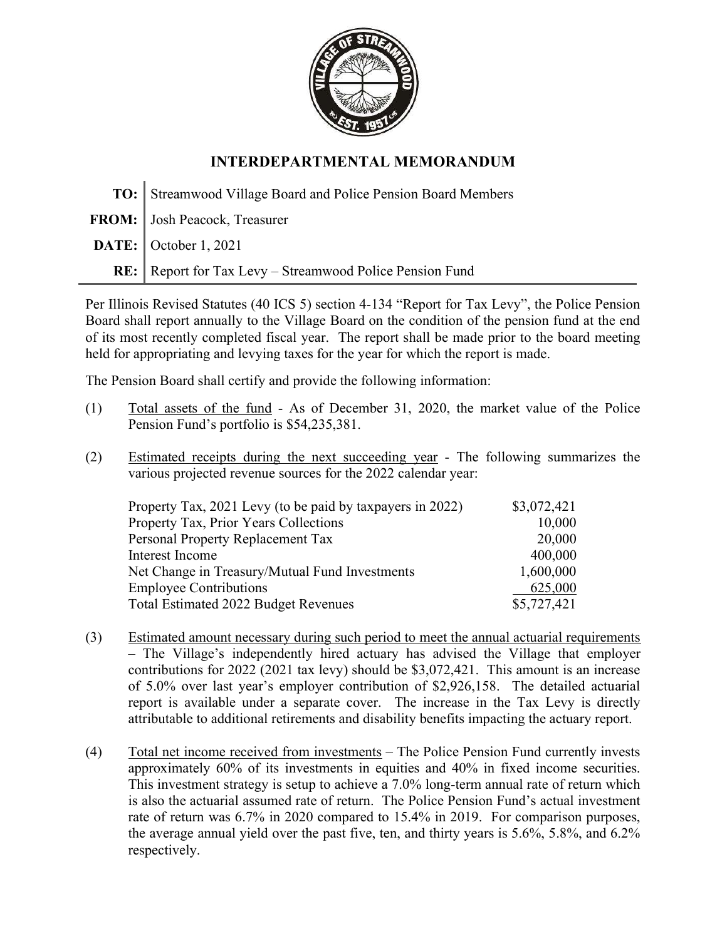

## INTERDEPARTMENTAL MEMORANDUM

| TO: Streamwood Village Board and Police Pension Board Members |
|---------------------------------------------------------------|
| FROM: Josh Peacock, Treasurer                                 |
| $\textbf{DATE:} \big $ October 1, 2021                        |
| RE: Report for Tax Levy - Streamwood Police Pension Fund      |

Per Illinois Revised Statutes (40 ICS 5) section 4-134 "Report for Tax Levy", the Police Pension Board shall report annually to the Village Board on the condition of the pension fund at the end of its most recently completed fiscal year. The report shall be made prior to the board meeting held for appropriating and levying taxes for the year for which the report is made.

The Pension Board shall certify and provide the following information:

- (1) Total assets of the fund As of December 31, 2020, the market value of the Police Pension Fund's portfolio is \$54,235,381.
- (2) Estimated receipts during the next succeeding year The following summarizes the various projected revenue sources for the 2022 calendar year:

| Property Tax, 2021 Levy (to be paid by taxpayers in 2022) | \$3,072,421 |
|-----------------------------------------------------------|-------------|
| Property Tax, Prior Years Collections                     | 10,000      |
| Personal Property Replacement Tax                         | 20,000      |
| Interest Income                                           | 400,000     |
| Net Change in Treasury/Mutual Fund Investments            | 1,600,000   |
| <b>Employee Contributions</b>                             | 625,000     |
| Total Estimated 2022 Budget Revenues                      | \$5,727,421 |

- (3) Estimated amount necessary during such period to meet the annual actuarial requirements – The Village's independently hired actuary has advised the Village that employer contributions for 2022 (2021 tax levy) should be \$3,072,421. This amount is an increase of 5.0% over last year's employer contribution of \$2,926,158. The detailed actuarial report is available under a separate cover. The increase in the Tax Levy is directly attributable to additional retirements and disability benefits impacting the actuary report.
- (4) Total net income received from investments The Police Pension Fund currently invests approximately 60% of its investments in equities and 40% in fixed income securities. This investment strategy is setup to achieve a 7.0% long-term annual rate of return which is also the actuarial assumed rate of return. The Police Pension Fund's actual investment rate of return was 6.7% in 2020 compared to 15.4% in 2019. For comparison purposes, the average annual yield over the past five, ten, and thirty years is 5.6%, 5.8%, and 6.2% respectively.